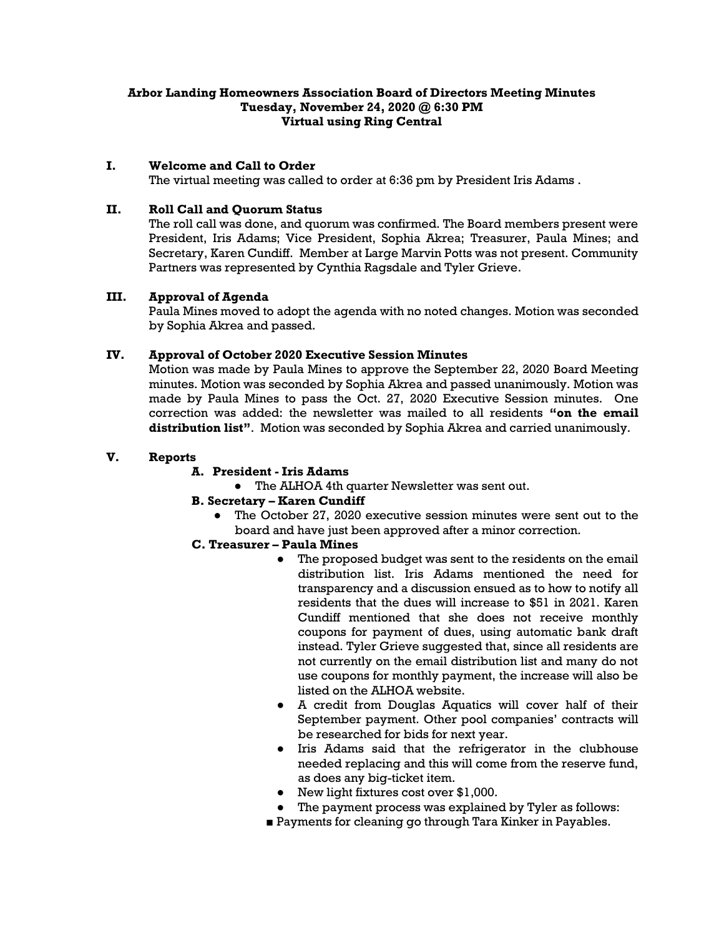## **Arbor Landing Homeowners Association Board of Directors Meeting Minutes Tuesday, November 24, 2020 @ 6:30 PM Virtual using Ring Central**

### **I. Welcome and Call to Order**

The virtual meeting was called to order at 6:36 pm by President Iris Adams .

#### **II. Roll Call and Quorum Status**

The roll call was done, and quorum was confirmed. The Board members present were President, Iris Adams; Vice President, Sophia Akrea; Treasurer, Paula Mines; and Secretary, Karen Cundiff. Member at Large Marvin Potts was not present. Community Partners was represented by Cynthia Ragsdale and Tyler Grieve.

### **III. Approval of Agenda**

Paula Mines moved to adopt the agenda with no noted changes. Motion was seconded by Sophia Akrea and passed.

## **IV. Approval of October 2020 Executive Session Minutes**

Motion was made by Paula Mines to approve the September 22, 2020 Board Meeting minutes. Motion was seconded by Sophia Akrea and passed unanimously. Motion was made by Paula Mines to pass the Oct. 27, 2020 Executive Session minutes. One correction was added: the newsletter was mailed to all residents **"on the email distribution list"**. Motion was seconded by Sophia Akrea and carried unanimously.

### **V. Reports**

# **A. President - Iris Adams**

● The ALHOA 4th quarter Newsletter was sent out.

## **B. Secretary – Karen Cundiff**

● The October 27, 2020 executive session minutes were sent out to the board and have just been approved after a minor correction.

#### **C. Treasurer – Paula Mines**

- The proposed budget was sent to the residents on the email distribution list. Iris Adams mentioned the need for transparency and a discussion ensued as to how to notify all residents that the dues will increase to \$51 in 2021. Karen Cundiff mentioned that she does not receive monthly coupons for payment of dues, using automatic bank draft instead. Tyler Grieve suggested that, since all residents are not currently on the email distribution list and many do not use coupons for monthly payment, the increase will also be listed on the ALHOA website.
- A credit from Douglas Aquatics will cover half of their September payment. Other pool companies' contracts will be researched for bids for next year.
- Iris Adams said that the refrigerator in the clubhouse needed replacing and this will come from the reserve fund, as does any big-ticket item.
- New light fixtures cost over \$1,000.
- The payment process was explained by Tyler as follows:
- Payments for cleaning go through Tara Kinker in Payables.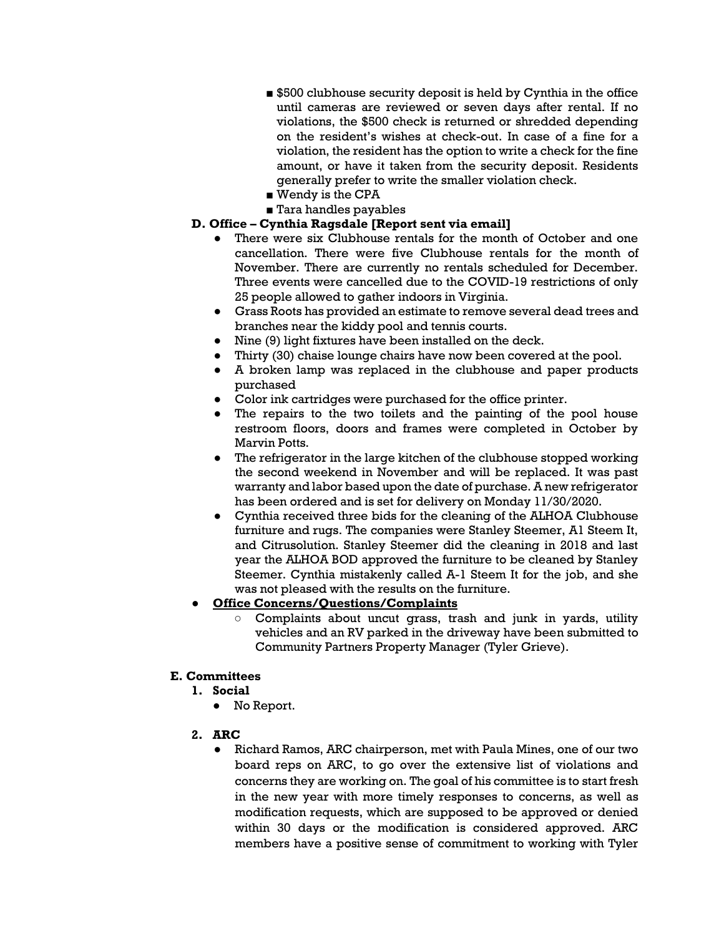- \$500 clubhouse security deposit is held by Cynthia in the office until cameras are reviewed or seven days after rental. If no violations, the \$500 check is returned or shredded depending on the resident's wishes at check-out. In case of a fine for a violation, the resident has the option to write a check for the fine amount, or have it taken from the security deposit. Residents generally prefer to write the smaller violation check.
- Wendy is the CPA
- Tara handles payables

# **D. Office – Cynthia Ragsdale [Report sent via email]**

- There were six Clubhouse rentals for the month of October and one cancellation. There were five Clubhouse rentals for the month of November. There are currently no rentals scheduled for December. Three events were cancelled due to the COVID-19 restrictions of only 25 people allowed to gather indoors in Virginia.
- Grass Roots has provided an estimate to remove several dead trees and branches near the kiddy pool and tennis courts.
- Nine (9) light fixtures have been installed on the deck.
- Thirty (30) chaise lounge chairs have now been covered at the pool.
- A broken lamp was replaced in the clubhouse and paper products purchased
- Color ink cartridges were purchased for the office printer.
- The repairs to the two toilets and the painting of the pool house restroom floors, doors and frames were completed in October by Marvin Potts.
- The refrigerator in the large kitchen of the clubhouse stopped working the second weekend in November and will be replaced. It was past warranty and labor based upon the date of purchase. A new refrigerator has been ordered and is set for delivery on Monday 11/30/2020.
- Cynthia received three bids for the cleaning of the ALHOA Clubhouse furniture and rugs. The companies were Stanley Steemer, A1 Steem It, and Citrusolution. Stanley Steemer did the cleaning in 2018 and last year the ALHOA BOD approved the furniture to be cleaned by Stanley Steemer. Cynthia mistakenly called A-1 Steem It for the job, and she was not pleased with the results on the furniture.

# ● **Office Concerns/Questions/Complaints**

Complaints about uncut grass, trash and junk in yards, utility vehicles and an RV parked in the driveway have been submitted to Community Partners Property Manager (Tyler Grieve).

# **E. Committees**

- **1. Social**
	- No Report.
- **2. ARC**
	- Richard Ramos, ARC chairperson, met with Paula Mines, one of our two board reps on ARC, to go over the extensive list of violations and concerns they are working on. The goal of his committee is to start fresh in the new year with more timely responses to concerns, as well as modification requests, which are supposed to be approved or denied within 30 days or the modification is considered approved. ARC members have a positive sense of commitment to working with Tyler